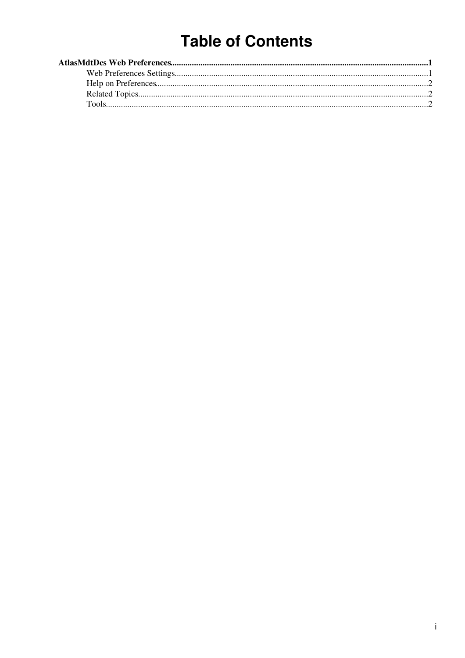# **Table of Contents**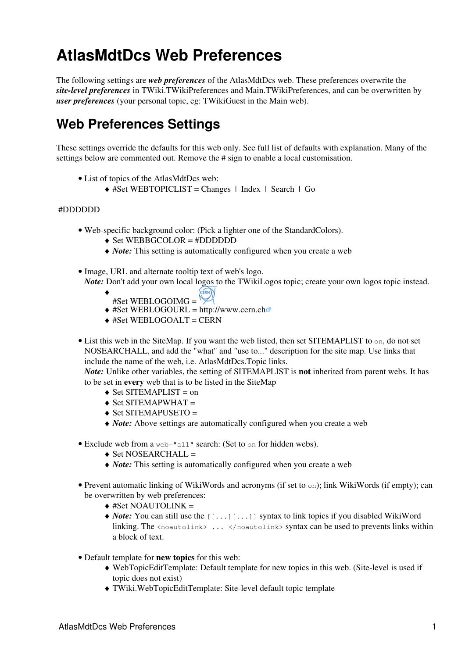# <span id="page-1-0"></span>**AtlasMdtDcs Web Preferences**

The following settings are *web preferences* of the [AtlasMdtDcs](https://twiki.cern.ch/twiki/bin/view/AtlasMdtDcs/WebHome) web. These preferences overwrite the *site-level preferences* in [TWiki.TWikiPreferences](https://twiki.cern.ch/twiki/bin/view/TWiki/TWikiPreferences) and [Main.TWikiPreferences,](https://twiki.cern.ch/twiki/bin/view/Main/TWikiPreferences) and can be overwritten by *user preferences* (your personal topic, eg: [TWikiGuest](https://twiki.cern.ch/twiki/bin/view/Main/TWikiGuest) in the [Main](https://twiki.cern.ch/twiki/bin/view/Main/WebHome) web).

### <span id="page-1-1"></span>**Web Preferences Settings**

These settings override the defaults for this web only. See [full list of defaults with explanation.](https://twiki.cern.ch/twiki/bin/view/TWiki/TWikiPreferences#DefaultWebPreferences) Many of the settings below are commented out. Remove the # sign to enable a local customisation.

- List of topics of the AtlasMdtDcs web:
	- ♦ #Set WEBTOPICLIST = [Changes](https://twiki.cern.ch/twiki/bin/view/AtlasMdtDcs/WebChanges) | [Index](https://twiki.cern.ch/twiki/bin/view/AtlasMdtDcs/WebIndex) | [Search](https://twiki.cern.ch/twiki/bin/view/AtlasMdtDcs/WebSearch) | Go

#### #DDDDDD

- Web-specific background color: (Pick a lighter one of the [StandardColors\)](https://twiki.cern.ch/twiki/bin/view/TWiki/StandardColors).
	- ♦ Set WEBBGCOLOR = #DDDDDD
	- ♦ *Note:* This setting is automatically configured when you create a web
- Image, URL and alternate tooltip text of web's logo. *Note:* Don't add your own local logos to the [TWikiLogos](https://twiki.cern.ch/twiki/bin/view/TWiki/TWikiLogos) topic; create your own logos topic instead.
	- ♦
	- #Set WEBLOGOIMG =  $\swarrow$
	- $\triangleq$  #Set WEBLOGOURL =<http://www.cern.ch>
	- $\triangle$  #Set WEBLOGOALT = CERN
- List this web in the [SiteMap](https://twiki.cern.ch/twiki/bin/view/TWiki/SiteMap). If you want the web listed, then set SITEMAPLIST to on, do not set NOSEARCHALL, and add the "what" and "use to..." description for the site map. Use links that include the name of the web, i.e. AtlasMdtDcs.Topic links.

*Note:* Unlike other variables, the setting of SITEMAPLIST is **not** inherited from parent webs. It has to be set in **every** web that is to be listed in the [SiteMap](https://twiki.cern.ch/twiki/bin/view/TWiki/SiteMap)

- $\triangle$  Set SITEMAPLIST = on
- $\triangle$  Set SITEMAPWHAT =
- ♦ Set SITEMAPUSETO =
- ♦ *Note:* Above settings are automatically configured when you create a web
- Exclude web from a web="all" search: (Set to on for hidden webs).
	- $\triangle$  Set NOSEARCHALL =
	- ♦ *Note:* This setting is automatically configured when you create a web
- Prevent automatic linking of [WikiWords](https://twiki.cern.ch/twiki/bin/view/TWiki/WikiWord) and acronyms (if set to on); link WikiWords (if empty); can be overwritten by web preferences:
	- $\triangleq$  #Set NOAUTOLINK =
	- ◆ *Note*: You can still use the [[...][...]] syntax to link topics if you disabled WikiWord linking. The <noautolink> ... </noautolink> syntax can be used to prevents links within a block of text.
- Default template for **new topics** for this web:
	- [WebTopicEditTemplate](https://twiki.cern.ch/twiki/bin/edit/AtlasMdtDcs/WebTopicEditTemplate?topicparent=AtlasMdtDcs.WebPreferences;nowysiwyg=1): Default template for new topics in this web. (Site-level is used if ♦ topic does not exist)
	- ♦ [TWiki.WebTopicEditTemplate:](https://twiki.cern.ch/twiki/bin/view/TWiki/WebTopicEditTemplate) Site-level default topic template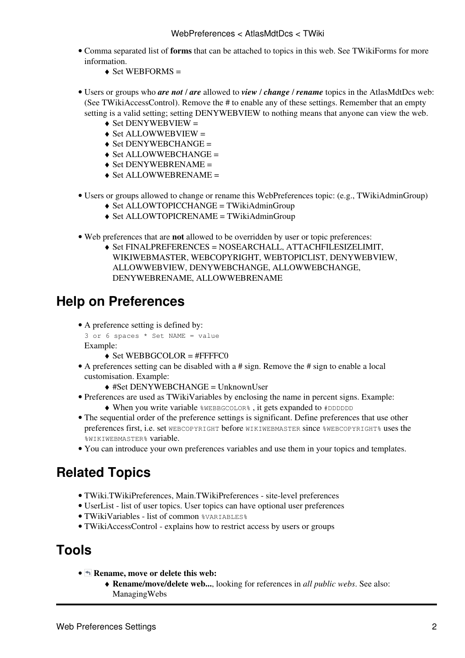- Comma separated list of **forms** that can be attached to topics in this web. See [TWikiForms](https://twiki.cern.ch/twiki/bin/view/TWiki/TWikiForms) for more information.
	- $\triangleleft$  Set WEBFORMS =
- Users or groups who *are not* / *are* allowed to *view* / *change* / *rename* topics in the AtlasMdtDcs web: (See [TWikiAccessControl\)](https://twiki.cern.ch/twiki/bin/view/TWiki/TWikiAccessControl). Remove the # to enable any of these settings. Remember that an empty setting is a valid setting; setting DENYWEBVIEW to nothing means that anyone can view the web.
	- $\triangle$  Set DENYWEBVIEW =
	- $\triangle$  Set ALLOWWEBVIEW =
	- $\triangle$  Set DENYWEBCHANGE =
	- $\triangle$  Set ALLOWWEBCHANGE =
	- $\triangle$  Set DENYWEBRENAME =
	- $\triangle$  Set ALLOWWEBRENAME =
- Users or groups allowed to change or rename this WebPreferences topic: (e.g., [TWikiAdminGroup\)](https://twiki.cern.ch/twiki/bin/view/Main/TWikiAdminGroup)
	- ♦ Set ALLOWTOPICCHANGE = [TWikiAdminGroup](https://twiki.cern.ch/twiki/bin/view/Main/TWikiAdminGroup)
	- ♦ Set ALLOWTOPICRENAME = [TWikiAdminGroup](https://twiki.cern.ch/twiki/bin/view/Main/TWikiAdminGroup)
- Web preferences that are **not** allowed to be overridden by user or topic preferences:
	- Set FINALPREFERENCES = NOSEARCHALL, ATTACHFILESIZELIMIT, ♦ WIKIWEBMASTER, WEBCOPYRIGHT, WEBTOPICLIST, DENYWEBVIEW, ALLOWWEBVIEW, DENYWEBCHANGE, ALLOWWEBCHANGE, DENYWEBRENAME, ALLOWWEBRENAME

## <span id="page-2-0"></span>**Help on Preferences**

A preference setting is defined by: •

3 or 6 spaces \* Set NAME = value Example:

- $\triangle$  Set WEBBGCOLOR = #FFFFC0
- A preferences setting can be disabled with a # sign. Remove the # sign to enable a local customisation. Example:
	- ♦ #Set DENYWEBCHANGE = [UnknownUser](https://twiki.cern.ch/twiki/bin/view/Main/UnknownUser)
- Preferences are used as [TWikiVariables](https://twiki.cern.ch/twiki/bin/view/TWiki/TWikiVariables) by enclosing the name in percent signs. Example: ♦ When you write variable %WEBBGCOLOR% , it gets expanded to #DDDDDD
- The sequential order of the preference settings is significant. Define preferences that use other preferences first, i.e. set WEBCOPYRIGHT before WIKIWEBMASTER since %WEBCOPYRIGHT% uses the %WIKIWEBMASTER% variable.
- You can introduce your own preferences variables and use them in your topics and templates.

## <span id="page-2-1"></span>**Related Topics**

- [TWiki.TWikiPreferences,](https://twiki.cern.ch/twiki/bin/view/TWiki/TWikiPreferences) [Main.TWikiPreferences](https://twiki.cern.ch/twiki/bin/view/Main/TWikiPreferences)  site-level preferences
- [UserList](https://twiki.cern.ch/twiki/bin/view/Main/UserList)  list of user topics. User topics can have optional user preferences
- [TWikiVariables](https://twiki.cern.ch/twiki/bin/view/TWiki/TWikiVariables)  list of common %VARIABLES%
- [TWikiAccessControl](https://twiki.cern.ch/twiki/bin/view/TWiki/TWikiAccessControl)  explains how to restrict access by users or groups

### <span id="page-2-2"></span>**Tools**

- **h** Rename, move or delete this web:
	- **Rename/move/delete web...**, looking for references in *all public webs*. See also: ♦ [ManagingWebs](https://twiki.cern.ch/twiki/bin/view/TWiki/ManagingWebs)